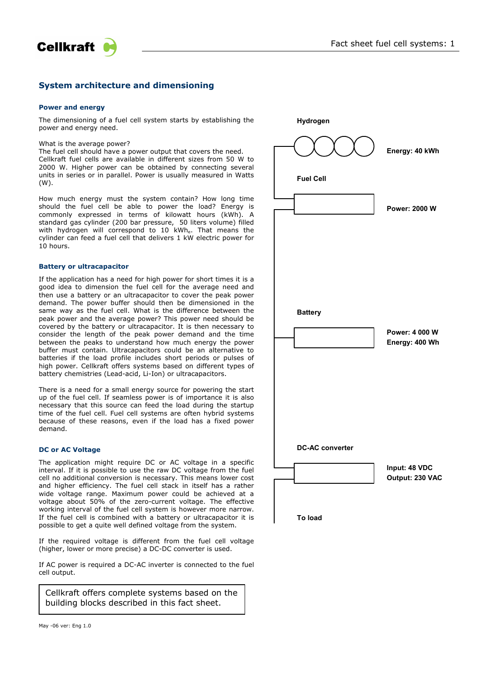

# **System architecture and dimensioning**

#### **Power and energy**

**Cellkraft** 

The dimensioning of a fuel cell system starts by establishing the power and energy need.

What is the average power?

The fuel cell should have a power output that covers the need. Cellkraft fuel cells are available in different sizes from 50 W to 2000 W. Higher power can be obtained by connecting several units in series or in parallel. Power is usually measured in Watts (W).

How much energy must the system contain? How long time should the fuel cell be able to power the load? Energy is commonly expressed in terms of kilowatt hours (kWh). A standard gas cylinder (200 bar pressure, 50 liters volume) filled with hydrogen will correspond to 10 kWh. That means the cylinder can feed a fuel cell that delivers 1 kW electric power for 10 hours.

#### **Battery or ultracapacitor**

If the application has a need for high power for short times it is a good idea to dimension the fuel cell for the average need and then use a battery or an ultracapacitor to cover the peak power demand. The power buffer should then be dimensioned in the same way as the fuel cell. What is the difference between the peak power and the average power? This power need should be covered by the battery or ultracapacitor. It is then necessary to consider the length of the peak power demand and the time between the peaks to understand how much energy the power buffer must contain. Ultracapacitors could be an alternative to batteries if the load profile includes short periods or pulses of high power. Cellkraft offers systems based on different types of battery chemistries (Lead-acid, Li-Ion) or ultracapacitors.

There is a need for a small energy source for powering the start up of the fuel cell. If seamless power is of importance it is also necessary that this source can feed the load during the startup time of the fuel cell. Fuel cell systems are often hybrid systems because of these reasons, even if the load has a fixed power demand.

## **DC or AC Voltage**

The application might require DC or AC voltage in a specific interval. If it is possible to use the raw DC voltage from the fuel cell no additional conversion is necessary. This means lower cost and higher efficiency. The fuel cell stack in itself has a rather wide voltage range. Maximum power could be achieved at a voltage about 50% of the zero-current voltage. The effective working interval of the fuel cell system is however more narrow. If the fuel cell is combined with a battery or ultracapacitor it is possible to get a quite well defined voltage from the system.

If the required voltage is different from the fuel cell voltage (higher, lower or more precise) a DC-DC converter is used.

If AC power is required a DC-AC inverter is connected to the fuel cell output.

Cellkraft offers complete systems based on the building blocks described in this fact sheet.

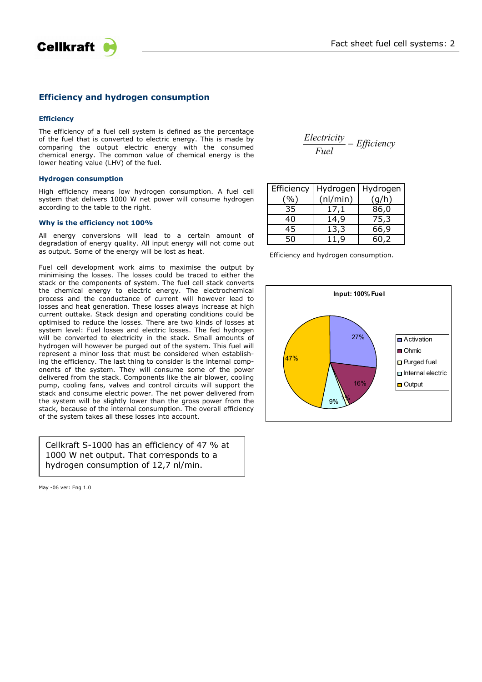



# **Efficiency and hydrogen consumption**

# **Efficiency**

The efficiency of a fuel cell system is defined as the percentage of the fuel that is converted to electric energy. This is made by comparing the output electric energy with the consumed chemical energy. The common value of chemical energy is the lower heating value (LHV) of the fuel.

### **Hydrogen consumption**

High efficiency means low hydrogen consumption. A fuel cell system that delivers 1000 W net power will consume hydrogen according to the table to the right.

## **Why is the efficiency not 100%**

All energy conversions will lead to a certain amount of degradation of energy quality. All input energy will not come out as output. Some of the energy will be lost as heat.

Fuel cell development work aims to maximise the output by minimising the losses. The losses could be traced to either the stack or the components of system. The fuel cell stack converts the chemical energy to electric energy. The electrochemical process and the conductance of current will however lead to losses and heat generation. These losses always increase at high current outtake. Stack design and operating conditions could be optimised to reduce the losses. There are two kinds of losses at system level: Fuel losses and electric losses. The fed hydrogen will be converted to electricity in the stack. Small amounts of hydrogen will however be purged out of the system. This fuel will represent a minor loss that must be considered when establishing the efficiency. The last thing to consider is the internal components of the system. They will consume some of the power delivered from the stack. Components like the air blower, cooling pump, cooling fans, valves and control circuits will support the stack and consume electric power. The net power delivered from the system will be slightly lower than the gross power from the stack, because of the internal consumption. The overall efficiency of the system takes all these losses into account.

Cellkraft S-1000 has an efficiency of 47 % at 1000 W net output. That corresponds to a hydrogen consumption of 12,7 nl/min.

May -06 ver: Eng 1.0

*Efficiency Fuel Electricity* <sup>=</sup>

| Efficiency |          | Hydrogen   Hydrogen |
|------------|----------|---------------------|
| $\%$ )     | (nI/min) | (g/h)               |
| 35         | 17.1     | 86,0                |
| 40         | 14,9     | 75,3                |
| 45         | 13,3     | 66,9                |
| 50         | 11.9     | 60,2                |

Efficiency and hydrogen consumption.

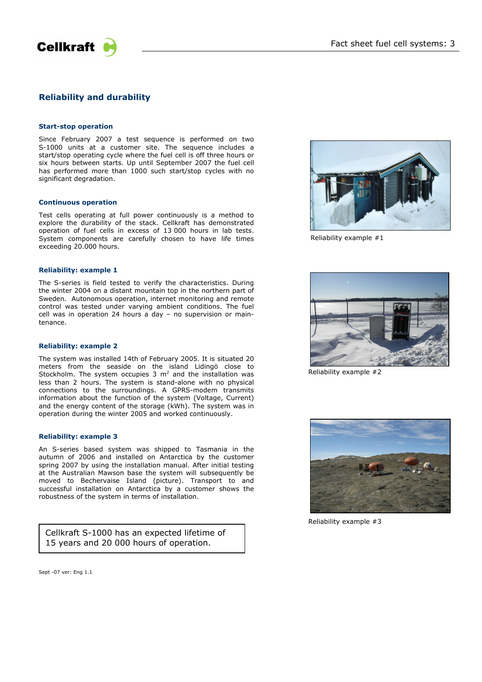

# **Reliability and durability**

#### **Start-stop operation**

Since February 2007 a test sequence is performed on two S-1000 units at a customer site. The sequence includes a start/stop operating cycle where the fuel cell is off three hours or six hours between starts. Up until September 2007 the fuel cell has performed more than 1000 such start/stop cycles with no significant degradation.

### **Continuous operation**

Test cells operating at full power continuously is a method to explore the durability of the stack. Cellkraft has demonstrated operation of fuel cells in excess of 13 000 hours in lab tests. System components are carefully chosen to have life times exceeding 20.000 hours.

## **Reliability: example 1**

The S-series is field tested to verify the characteristics. During the winter 2004 on a distant mountain top in the northern part of Sweden. Autonomous operation, internet monitoring and remote control was tested under varying ambient conditions. The fuel cell was in operation 24 hours a day – no supervision or maintenance.

### **Reliability: example 2**

The system was installed 14th of February 2005. It is situated 20 meters from the seaside on the island Lidingö close to Stockholm. The system occupies  $3 \text{ m}^2$  and the installation was less than 2 hours. The system is stand-alone with no physical connections to the surroundings. A GPRS-modem transmits information about the function of the system (Voltage, Current) and the energy content of the storage (kWh). The system was in operation during the winter 2005 and worked continuously.

#### **Reliability: example 3**

An S-series based system was shipped to Tasmania in the autumn of 2006 and installed on Antarctica by the customer spring 2007 by using the installation manual. After initial testing at the Australian Mawson base the system will subsequently be moved to Bechervaise Island (picture). Transport to and successful installation on Antarctica by a customer shows the robustness of the system in terms of installation.

Cellkraft S-1000 has an expected lifetime of 15 years and 20 000 hours of operation.



Reliability example #1



Reliability example #2



Reliability example #3

Sept -07 ver: Eng 1.1